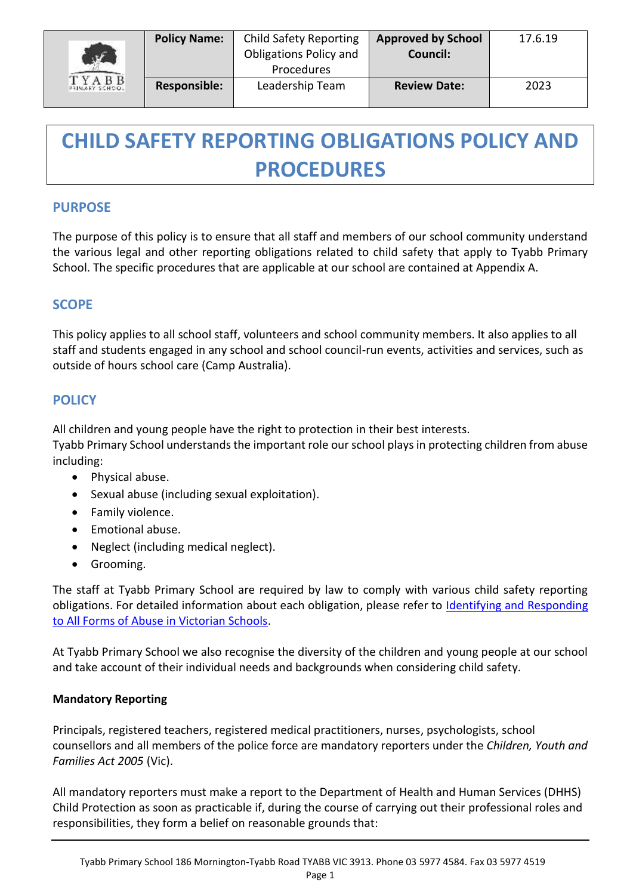| $\mathbf{r}$<br>TYABB<br>PRIMARY SCHOOL | <b>Policy Name:</b> | <b>Child Safety Reporting</b><br><b>Obligations Policy and</b><br>Procedures | <b>Approved by School</b><br><b>Council:</b> | 17.6.19 |
|-----------------------------------------|---------------------|------------------------------------------------------------------------------|----------------------------------------------|---------|
|                                         | Responsible:        | Leadership Team                                                              | <b>Review Date:</b>                          | 2023    |

# **CHILD SAFETY REPORTING OBLIGATIONS POLICY AND PROCEDURES**

# **PURPOSE**

The purpose of this policy is to ensure that all staff and members of our school community understand the various legal and other reporting obligations related to child safety that apply to Tyabb Primary School. The specific procedures that are applicable at our school are contained at Appendix A.

## **SCOPE**

This policy applies to all school staff, volunteers and school community members. It also applies to all staff and students engaged in any school and school council-run events, activities and services, such as outside of hours school care (Camp Australia).

## **POLICY**

All children and young people have the right to protection in their best interests.

Tyabb Primary School understands the important role our school plays in protecting children from abuse including:

- Physical abuse.
- Sexual abuse (including sexual exploitation).
- Family violence.
- Emotional abuse.
- Neglect (including medical neglect).
- Grooming.

The staff at Tyabb Primary School are required by law to comply with various child safety reporting obligations. For detailed information about each obligation, please refer to Identifying and Responding [to All Forms of Abuse in Victorian Schools.](https://www.education.vic.gov.au/Documents/about/programs/health/protect/ChildSafeStandard5_SchoolsGuide.pdf)

At Tyabb Primary School we also recognise the diversity of the children and young people at our school and take account of their individual needs and backgrounds when considering child safety.

## **Mandatory Reporting**

Principals, registered teachers, registered medical practitioners, nurses, psychologists, school counsellors and all members of the police force are mandatory reporters under the *Children, Youth and Families Act 2005* (Vic).

All mandatory reporters must make a report to the Department of Health and Human Services (DHHS) Child Protection as soon as practicable if, during the course of carrying out their professional roles and responsibilities, they form a belief on reasonable grounds that: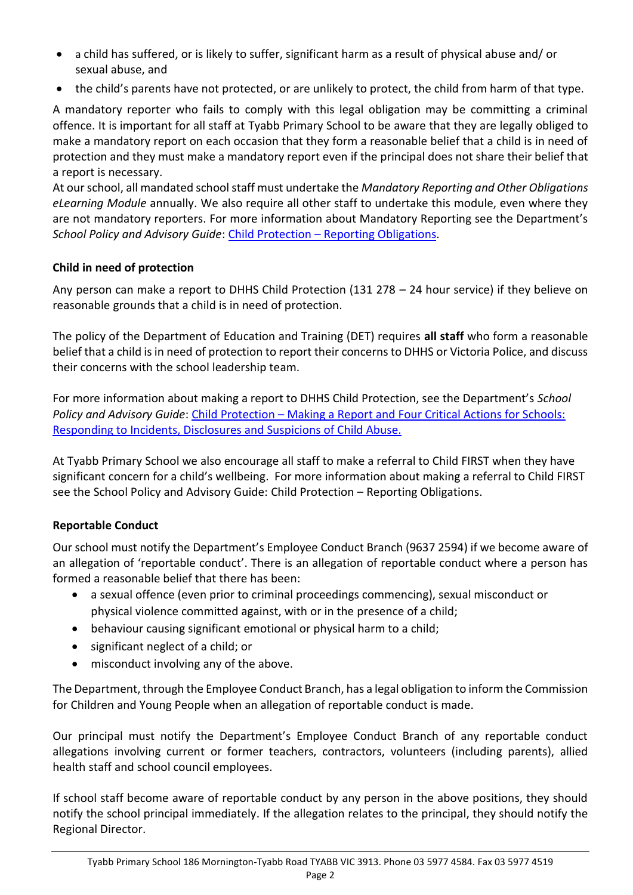- a child has suffered, or is likely to suffer, significant harm as a result of physical abuse and/ or sexual abuse, and
- the child's parents have not protected, or are unlikely to protect, the child from harm of that type.

A mandatory reporter who fails to comply with this legal obligation may be committing a criminal offence. It is important for all staff at Tyabb Primary School to be aware that they are legally obliged to make a mandatory report on each occasion that they form a reasonable belief that a child is in need of protection and they must make a mandatory report even if the principal does not share their belief that a report is necessary.

At our school, all mandated school staff must undertake the *Mandatory Reporting and Other Obligations eLearning Module* annually. We also require all other staff to undertake this module, even where they are not mandatory reporters. For more information about Mandatory Reporting see the Department's *School Policy and Advisory Guide*: Child Protection – [Reporting Obligations.](http://www.education.vic.gov.au/school/principals/spag/safety/Pages/childprotectobligation.aspx)

## **Child in need of protection**

Any person can make a report to DHHS Child Protection (131 278 – 24 hour service) if they believe on reasonable grounds that a child is in need of protection.

The policy of the Department of Education and Training (DET) requires **all staff** who form a reasonable belief that a child is in need of protection to report their concerns to DHHS or Victoria Police, and discuss their concerns with the school leadership team.

For more information about making a report to DHHS Child Protection, see the Department's *School Policy and Advisory Guide*: [Child Protection](http://www.education.vic.gov.au/school/principals/spag/safety/Pages/childprotectreporting.aspx) – Making a Report and [Four Critical Actions for Schools:](https://www.education.vic.gov.au/Documents/about/programs/health/protect/FourCriticalActions_ChildAbuse.pdf)  [Responding to Incidents, Disclosures and Suspicions of Child Abuse.](https://www.education.vic.gov.au/Documents/about/programs/health/protect/FourCriticalActions_ChildAbuse.pdf)

At Tyabb Primary School we also encourage all staff to make a referral to Child FIRST when they have significant concern for a child's wellbeing. For more information about making a referral to Child FIRST see the School Policy and Advisory Guide: Child Protection – [Reporting Obligations.](https://www.education.vic.gov.au/school/principals/spag/safety/Pages/childprotectobligation.aspx)

## **Reportable Conduct**

Our school must notify the Department's Employee Conduct Branch (9637 2594) if we become aware of an allegation of 'reportable conduct'. There is an allegation of reportable conduct where a person has formed a reasonable belief that there has been:

- a sexual offence (even prior to criminal proceedings commencing), sexual misconduct or physical violence committed against, with or in the presence of a child;
- behaviour causing significant emotional or physical harm to a child;
- significant neglect of a child; or
- misconduct involving any of the above.

The Department, through the Employee Conduct Branch, has a legal obligation to inform the Commission for Children and Young People when an allegation of reportable conduct is made.

Our principal must notify the Department's Employee Conduct Branch of any reportable conduct allegations involving current or former teachers, contractors, volunteers (including parents), allied health staff and school council employees.

If school staff become aware of reportable conduct by any person in the above positions, they should notify the school principal immediately. If the allegation relates to the principal, they should notify the Regional Director.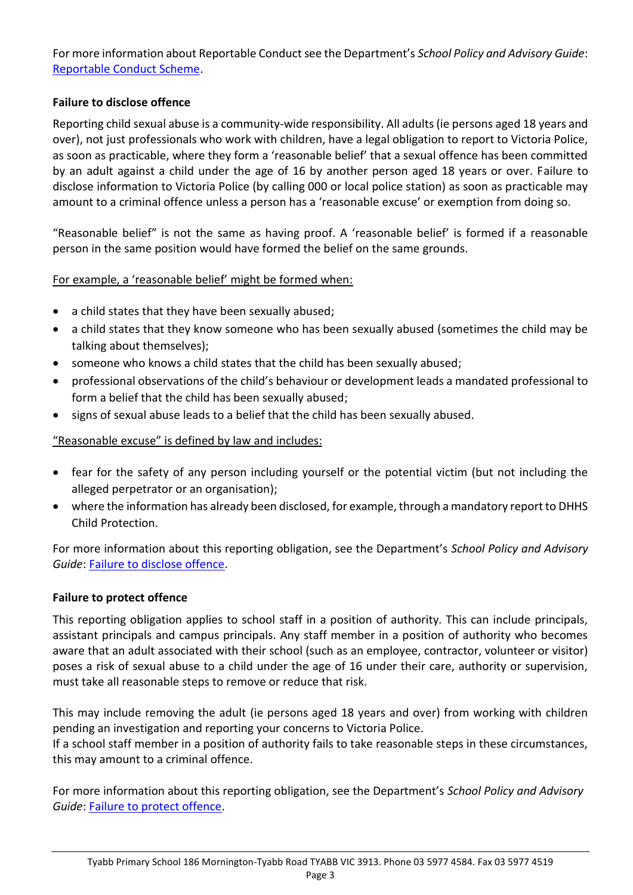For more information about Reportable Conduct see the Department's *School Policy and Advisory Guide*: [Reportable Conduct Scheme.](http://www.education.vic.gov.au/school/principals/spag/safety/Pages/reportableconductscheme.aspx)

#### **Failure to disclose offence**

Reporting child sexual abuse is a community-wide responsibility. All adults (ie persons aged 18 years and over), not just professionals who work with children, have a legal obligation to report to Victoria Police, as soon as practicable, where they form a 'reasonable belief' that a sexual offence has been committed by an adult against a child under the age of 16 by another person aged 18 years or over. Failure to disclose information to Victoria Police (by calling 000 or local police station) as soon as practicable may amount to a criminal offence unless a person has a 'reasonable excuse' or exemption from doing so.

"Reasonable belief" is not the same as having proof. A 'reasonable belief' is formed if a reasonable person in the same position would have formed the belief on the same grounds.

#### For example, a 'reasonable belief' might be formed when:

- a child states that they have been sexually abused;
- a child states that they know someone who has been sexually abused (sometimes the child may be talking about themselves);
- someone who knows a child states that the child has been sexually abused;
- professional observations of the child's behaviour or development leads a mandated professional to form a belief that the child has been sexually abused;
- signs of sexual abuse leads to a belief that the child has been sexually abused.

#### "Reasonable excuse" is defined by law and includes:

- fear for the safety of any person including yourself or the potential victim (but not including the alleged perpetrator or an organisation);
- where the information has already been disclosed, for example, through a mandatory report to DHHS Child Protection.

For more information about this reporting obligation, see the Department's *School Policy and Advisory Guide*: [Failure to disclose offence.](http://www.education.vic.gov.au/school/principals/spag/safety/Pages/childprotectobligation.aspx)

#### **Failure to protect offence**

This reporting obligation applies to school staff in a position of authority. This can include principals, assistant principals and campus principals. Any staff member in a position of authority who becomes aware that an adult associated with their school (such as an employee, contractor, volunteer or visitor) poses a risk of sexual abuse to a child under the age of 16 under their care, authority or supervision, must take all reasonable steps to remove or reduce that risk.

This may include removing the adult (ie persons aged 18 years and over) from working with children pending an investigation and reporting your concerns to Victoria Police.

If a school staff member in a position of authority fails to take reasonable steps in these circumstances, this may amount to a criminal offence.

For more information about this reporting obligation, see the Department's *School Policy and Advisory Guide*: [Failure to protect offence.](http://www.education.vic.gov.au/school/principals/spag/safety/Pages/childprotectobligation.aspx)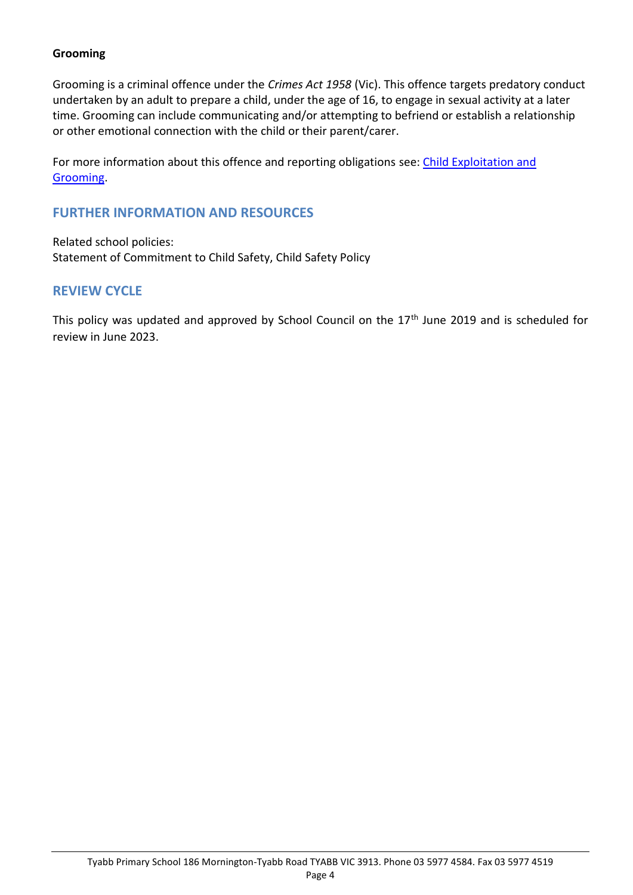#### **Grooming**

Grooming is a criminal offence under the *Crimes Act 1958* (Vic). This offence targets predatory conduct undertaken by an adult to prepare a child, under the age of 16, to engage in sexual activity at a later time. Grooming can include communicating and/or attempting to befriend or establish a relationship or other emotional connection with the child or their parent/carer.

For more information about this offence and reporting obligations see: Child Exploitation and [Grooming.](https://www.education.vic.gov.au/school/teachers/health/childprotection/Pages/expolitationgrooming.aspx)

## **FURTHER INFORMATION AND RESOURCES**

Related school policies: Statement of Commitment to Child Safety, Child Safety Policy

## **REVIEW CYCLE**

This policy was updated and approved by School Council on the 17<sup>th</sup> June 2019 and is scheduled for review in June 2023.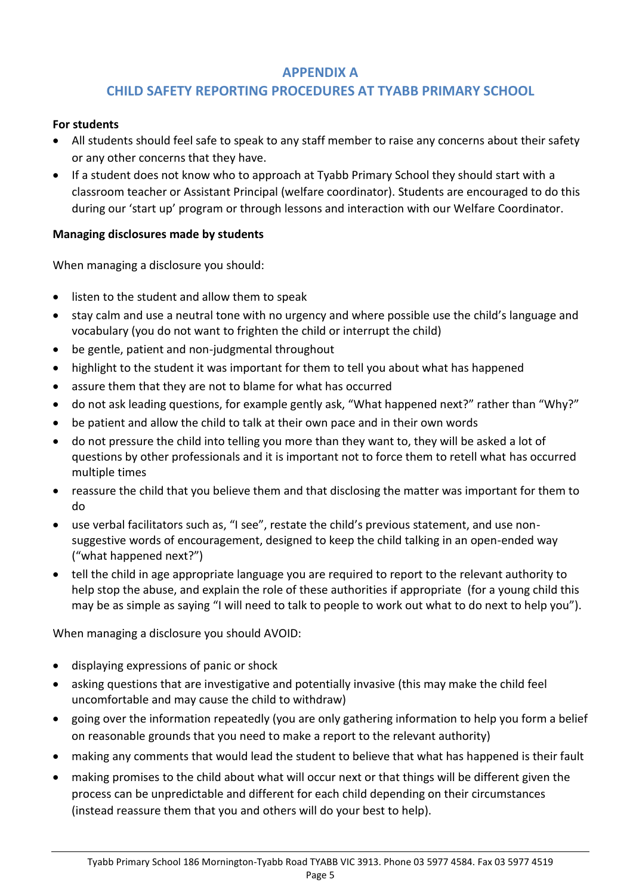## **APPENDIX A**

# **CHILD SAFETY REPORTING PROCEDURES AT TYABB PRIMARY SCHOOL**

#### **For students**

- All students should feel safe to speak to any staff member to raise any concerns about their safety or any other concerns that they have.
- If a student does not know who to approach at Tyabb Primary School they should start with a classroom teacher or Assistant Principal (welfare coordinator). Students are encouraged to do this during our 'start up' program or through lessons and interaction with our Welfare Coordinator.

## **Managing disclosures made by students**

When managing a disclosure you should:

- listen to the student and allow them to speak
- stay calm and use a neutral tone with no urgency and where possible use the child's language and vocabulary (you do not want to frighten the child or interrupt the child)
- be gentle, patient and non-judgmental throughout
- highlight to the student it was important for them to tell you about what has happened
- assure them that they are not to blame for what has occurred
- do not ask leading questions, for example gently ask, "What happened next?" rather than "Why?"
- be patient and allow the child to talk at their own pace and in their own words
- do not pressure the child into telling you more than they want to, they will be asked a lot of questions by other professionals and it is important not to force them to retell what has occurred multiple times
- reassure the child that you believe them and that disclosing the matter was important for them to do
- use verbal facilitators such as, "I see", restate the child's previous statement, and use nonsuggestive words of encouragement, designed to keep the child talking in an open-ended way ("what happened next?")
- tell the child in age appropriate language you are required to report to the relevant authority to help stop the abuse, and explain the role of these authorities if appropriate (for a young child this may be as simple as saying "I will need to talk to people to work out what to do next to help you").

When managing a disclosure you should AVOID:

- displaying expressions of panic or shock
- asking questions that are investigative and potentially invasive (this may make the child feel uncomfortable and may cause the child to withdraw)
- going over the information repeatedly (you are only gathering information to help you form a belief on reasonable grounds that you need to make a report to the relevant authority)
- making any comments that would lead the student to believe that what has happened is their fault
- making promises to the child about what will occur next or that things will be different given the process can be unpredictable and different for each child depending on their circumstances (instead reassure them that you and others will do your best to help).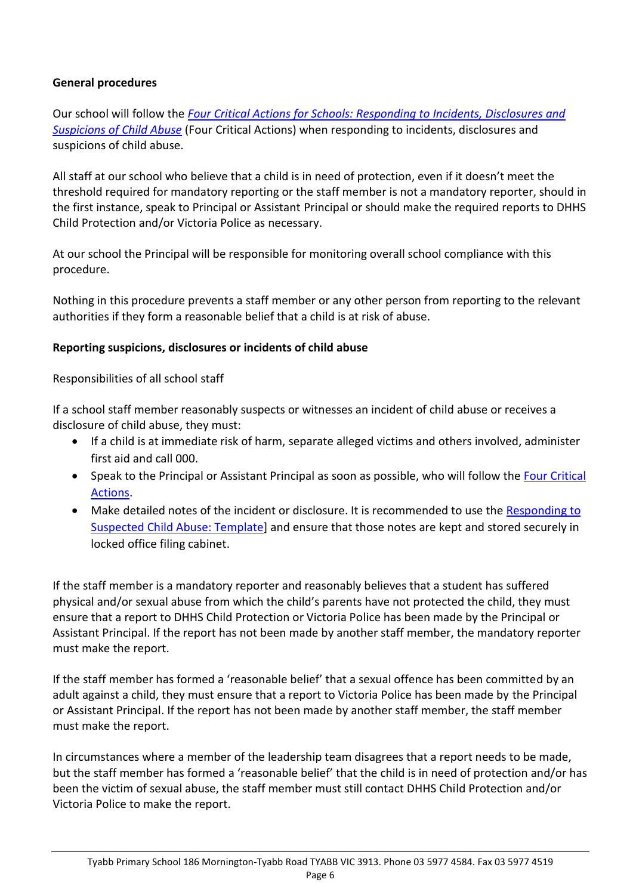#### **General procedures**

Our school will follow the *[Four Critical Actions for Schools: Responding to Incidents, Disclosures and](https://www.education.vic.gov.au/Documents/about/programs/health/protect/FourCriticalActions_ChildAbuse.pdf)  [Suspicions of Child Abuse](https://www.education.vic.gov.au/Documents/about/programs/health/protect/FourCriticalActions_ChildAbuse.pdf)* (Four Critical Actions) when responding to incidents, disclosures and suspicions of child abuse.

All staff at our school who believe that a child is in need of protection, even if it doesn't meet the threshold required for mandatory reporting or the staff member is not a mandatory reporter, should in the first instance, speak to Principal or Assistant Principal or should make the required reports to DHHS Child Protection and/or Victoria Police as necessary.

At our school the Principal will be responsible for monitoring overall school compliance with this procedure.

Nothing in this procedure prevents a staff member or any other person from reporting to the relevant authorities if they form a reasonable belief that a child is at risk of abuse.

#### **Reporting suspicions, disclosures or incidents of child abuse**

Responsibilities of all school staff

If a school staff member reasonably suspects or witnesses an incident of child abuse or receives a disclosure of child abuse, they must:

- If a child is at immediate risk of harm, separate alleged victims and others involved, administer first aid and call 000.
- Speak to the Principal or Assistant Principal as soon as possible, who will follow the Four Critical [Actions.](https://www.education.vic.gov.au/Documents/about/programs/health/protect/FourCriticalActions_ChildAbuse.pdf)
- Make detailed notes of the incident or disclosure. It is recommended to use the Responding to [Suspected Child Abuse: Template\]](https://www.education.vic.gov.au/Documents/about/programs/health/protect/PROTECT_Schoolstemplate.pdf) and ensure that those notes are kept and stored securely in locked office filing cabinet.

If the staff member is a mandatory reporter and reasonably believes that a student has suffered physical and/or sexual abuse from which the child's parents have not protected the child, they must ensure that a report to DHHS Child Protection or Victoria Police has been made by the Principal or Assistant Principal. If the report has not been made by another staff member, the mandatory reporter must make the report.

If the staff member has formed a 'reasonable belief' that a sexual offence has been committed by an adult against a child, they must ensure that a report to Victoria Police has been made by the Principal or Assistant Principal. If the report has not been made by another staff member, the staff member must make the report.

In circumstances where a member of the leadership team disagrees that a report needs to be made, but the staff member has formed a 'reasonable belief' that the child is in need of protection and/or has been the victim of sexual abuse, the staff member must still contact DHHS Child Protection and/or Victoria Police to make the report.